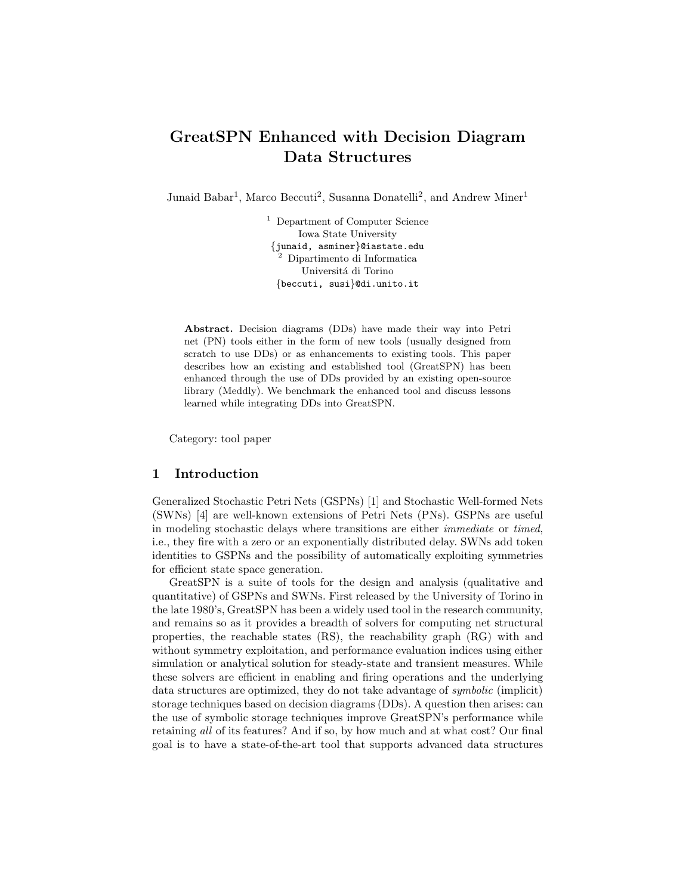# GreatSPN Enhanced with Decision Diagram Data Structures

Junaid Babar<sup>1</sup>, Marco Beccuti<sup>2</sup>, Susanna Donatelli<sup>2</sup>, and Andrew Miner<sup>1</sup>

<sup>1</sup> Department of Computer Science Iowa State University {junaid, asminer}@iastate.edu <sup>2</sup> Dipartimento di Informatica Universitá di Torino {beccuti, susi}@di.unito.it

Abstract. Decision diagrams (DDs) have made their way into Petri net (PN) tools either in the form of new tools (usually designed from scratch to use DDs) or as enhancements to existing tools. This paper describes how an existing and established tool (GreatSPN) has been enhanced through the use of DDs provided by an existing open-source library (Meddly). We benchmark the enhanced tool and discuss lessons learned while integrating DDs into GreatSPN.

Category: tool paper

# 1 Introduction

Generalized Stochastic Petri Nets (GSPNs) [1] and Stochastic Well-formed Nets (SWNs) [4] are well-known extensions of Petri Nets (PNs). GSPNs are useful in modeling stochastic delays where transitions are either immediate or timed, i.e., they fire with a zero or an exponentially distributed delay. SWNs add token identities to GSPNs and the possibility of automatically exploiting symmetries for efficient state space generation.

GreatSPN is a suite of tools for the design and analysis (qualitative and quantitative) of GSPNs and SWNs. First released by the University of Torino in the late 1980's, GreatSPN has been a widely used tool in the research community, and remains so as it provides a breadth of solvers for computing net structural properties, the reachable states (RS), the reachability graph (RG) with and without symmetry exploitation, and performance evaluation indices using either simulation or analytical solution for steady-state and transient measures. While these solvers are efficient in enabling and firing operations and the underlying data structures are optimized, they do not take advantage of symbolic (implicit) storage techniques based on decision diagrams (DDs). A question then arises: can the use of symbolic storage techniques improve GreatSPN's performance while retaining all of its features? And if so, by how much and at what cost? Our final goal is to have a state-of-the-art tool that supports advanced data structures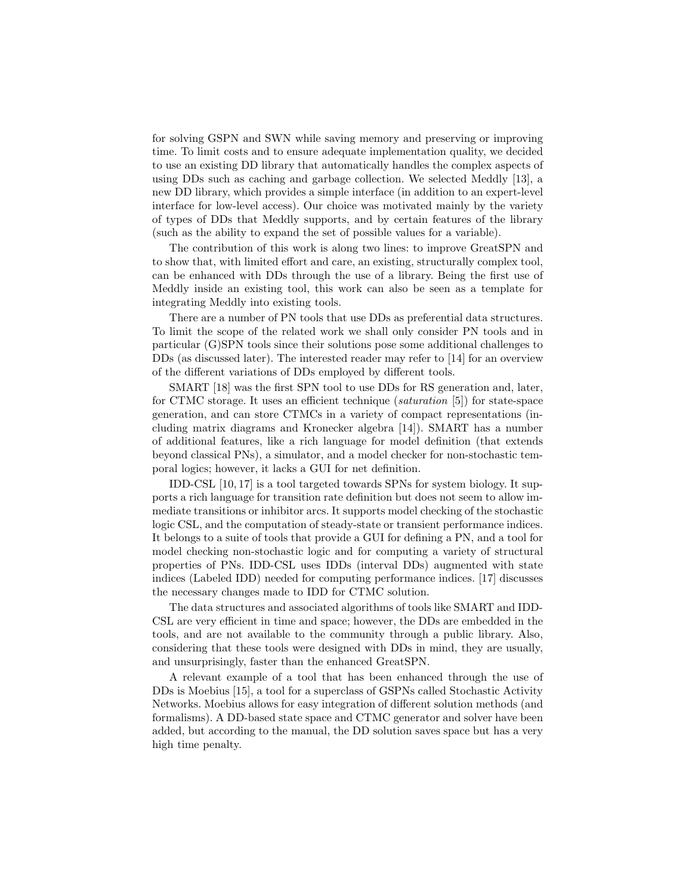for solving GSPN and SWN while saving memory and preserving or improving time. To limit costs and to ensure adequate implementation quality, we decided to use an existing DD library that automatically handles the complex aspects of using DDs such as caching and garbage collection. We selected Meddly [13], a new DD library, which provides a simple interface (in addition to an expert-level interface for low-level access). Our choice was motivated mainly by the variety of types of DDs that Meddly supports, and by certain features of the library (such as the ability to expand the set of possible values for a variable).

The contribution of this work is along two lines: to improve GreatSPN and to show that, with limited effort and care, an existing, structurally complex tool, can be enhanced with DDs through the use of a library. Being the first use of Meddly inside an existing tool, this work can also be seen as a template for integrating Meddly into existing tools.

There are a number of PN tools that use DDs as preferential data structures. To limit the scope of the related work we shall only consider PN tools and in particular (G)SPN tools since their solutions pose some additional challenges to DDs (as discussed later). The interested reader may refer to [14] for an overview of the different variations of DDs employed by different tools.

SMART [18] was the first SPN tool to use DDs for RS generation and, later, for CTMC storage. It uses an efficient technique (saturation [5]) for state-space generation, and can store CTMCs in a variety of compact representations (including matrix diagrams and Kronecker algebra [14]). SMART has a number of additional features, like a rich language for model definition (that extends beyond classical PNs), a simulator, and a model checker for non-stochastic temporal logics; however, it lacks a GUI for net definition.

IDD-CSL [10, 17] is a tool targeted towards SPNs for system biology. It supports a rich language for transition rate definition but does not seem to allow immediate transitions or inhibitor arcs. It supports model checking of the stochastic logic CSL, and the computation of steady-state or transient performance indices. It belongs to a suite of tools that provide a GUI for defining a PN, and a tool for model checking non-stochastic logic and for computing a variety of structural properties of PNs. IDD-CSL uses IDDs (interval DDs) augmented with state indices (Labeled IDD) needed for computing performance indices. [17] discusses the necessary changes made to IDD for CTMC solution.

The data structures and associated algorithms of tools like SMART and IDD-CSL are very efficient in time and space; however, the DDs are embedded in the tools, and are not available to the community through a public library. Also, considering that these tools were designed with DDs in mind, they are usually, and unsurprisingly, faster than the enhanced GreatSPN.

A relevant example of a tool that has been enhanced through the use of DDs is Moebius [15], a tool for a superclass of GSPNs called Stochastic Activity Networks. Moebius allows for easy integration of different solution methods (and formalisms). A DD-based state space and CTMC generator and solver have been added, but according to the manual, the DD solution saves space but has a very high time penalty.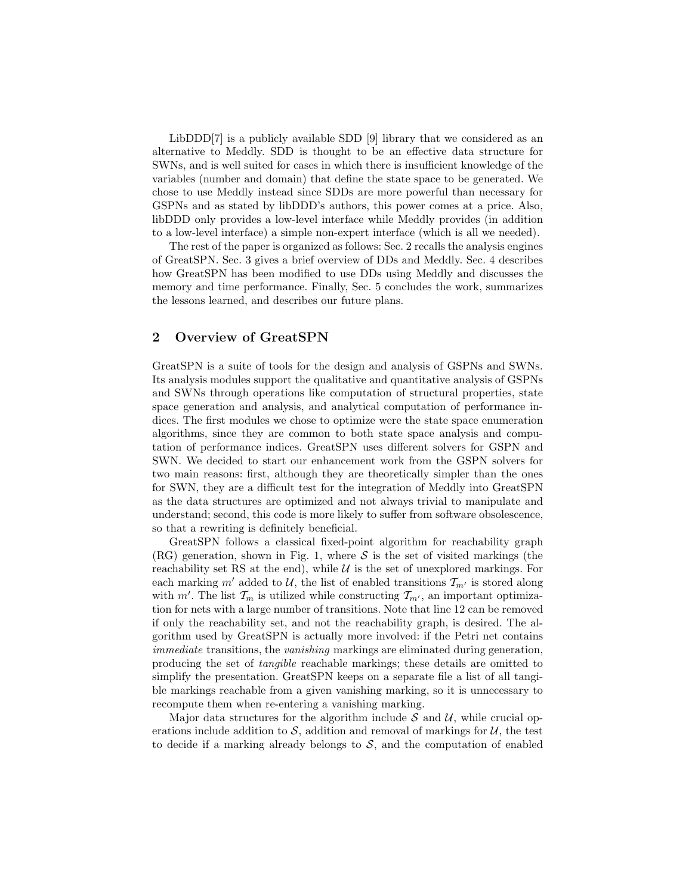LibDDD[7] is a publicly available SDD [9] library that we considered as an alternative to Meddly. SDD is thought to be an effective data structure for SWNs, and is well suited for cases in which there is insufficient knowledge of the variables (number and domain) that define the state space to be generated. We chose to use Meddly instead since SDDs are more powerful than necessary for GSPNs and as stated by libDDD's authors, this power comes at a price. Also, libDDD only provides a low-level interface while Meddly provides (in addition to a low-level interface) a simple non-expert interface (which is all we needed).

The rest of the paper is organized as follows: Sec. 2 recalls the analysis engines of GreatSPN. Sec. 3 gives a brief overview of DDs and Meddly. Sec. 4 describes how GreatSPN has been modified to use DDs using Meddly and discusses the memory and time performance. Finally, Sec. 5 concludes the work, summarizes the lessons learned, and describes our future plans.

# 2 Overview of GreatSPN

GreatSPN is a suite of tools for the design and analysis of GSPNs and SWNs. Its analysis modules support the qualitative and quantitative analysis of GSPNs and SWNs through operations like computation of structural properties, state space generation and analysis, and analytical computation of performance indices. The first modules we chose to optimize were the state space enumeration algorithms, since they are common to both state space analysis and computation of performance indices. GreatSPN uses different solvers for GSPN and SWN. We decided to start our enhancement work from the GSPN solvers for two main reasons: first, although they are theoretically simpler than the ones for SWN, they are a difficult test for the integration of Meddly into GreatSPN as the data structures are optimized and not always trivial to manipulate and understand; second, this code is more likely to suffer from software obsolescence, so that a rewriting is definitely beneficial.

GreatSPN follows a classical fixed-point algorithm for reachability graph (RG) generation, shown in Fig. 1, where  $S$  is the set of visited markings (the reachability set RS at the end), while  $\mathcal U$  is the set of unexplored markings. For each marking m' added to U, the list of enabled transitions  $\mathcal{T}_{m'}$  is stored along with m'. The list  $\mathcal{T}_m$  is utilized while constructing  $\mathcal{T}_{m'}$ , an important optimization for nets with a large number of transitions. Note that line 12 can be removed if only the reachability set, and not the reachability graph, is desired. The algorithm used by GreatSPN is actually more involved: if the Petri net contains immediate transitions, the vanishing markings are eliminated during generation, producing the set of tangible reachable markings; these details are omitted to simplify the presentation. GreatSPN keeps on a separate file a list of all tangible markings reachable from a given vanishing marking, so it is unnecessary to recompute them when re-entering a vanishing marking.

Major data structures for the algorithm include S and  $\mathcal{U}$ , while crucial operations include addition to  $S$ , addition and removal of markings for  $U$ , the test to decide if a marking already belongs to  $S$ , and the computation of enabled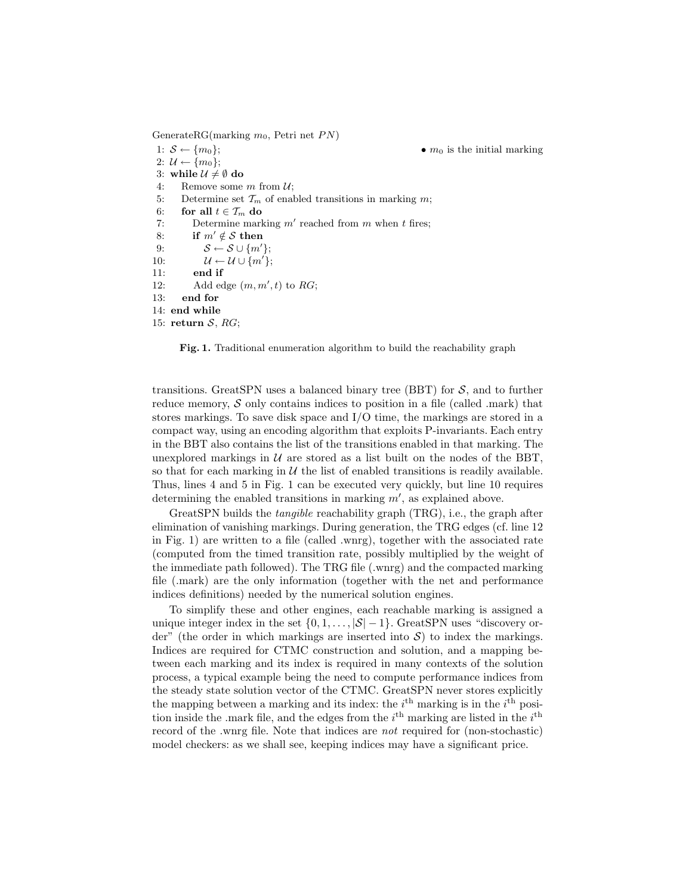GenerateRG(marking  $m_0$ , Petri net  $PN$ )

1:  $S \leftarrow \{m_0\}$ ; •  $m_0$  is the initial marking

2:  $\mathcal{U} \leftarrow \{m_0\};$ 3: while  $\mathcal{U} \neq \emptyset$  do 4: Remove some  $m$  from  $\mathcal{U}$ ; 5: Determine set  $\mathcal{T}_m$  of enabled transitions in marking m; 6: for all  $t \in \mathcal{T}_m$  do 7: Determine marking  $m'$  reached from  $m$  when  $t$  fires; 8: if  $m' \notin \mathcal{S}$  then 9:  $S \leftarrow S \cup \{m'\};$ 10:  $\mathcal{U} \leftarrow \mathcal{U} \cup \{m'\};$ 11: end if 12: Add edge  $(m, m', t)$  to  $RG$ ; 13: end for 14: end while 15: return  $S$ ,  $RG$ ;

Fig. 1. Traditional enumeration algorithm to build the reachability graph

transitions. GreatSPN uses a balanced binary tree (BBT) for  $S$ , and to further reduce memory,  $S$  only contains indices to position in a file (called .mark) that stores markings. To save disk space and I/O time, the markings are stored in a compact way, using an encoding algorithm that exploits P-invariants. Each entry in the BBT also contains the list of the transitions enabled in that marking. The unexplored markings in  $U$  are stored as a list built on the nodes of the BBT, so that for each marking in  $U$  the list of enabled transitions is readily available. Thus, lines 4 and 5 in Fig. 1 can be executed very quickly, but line 10 requires determining the enabled transitions in marking  $m'$ , as explained above.

GreatSPN builds the tangible reachability graph (TRG), i.e., the graph after elimination of vanishing markings. During generation, the TRG edges (cf. line 12 in Fig. 1) are written to a file (called .wnrg), together with the associated rate (computed from the timed transition rate, possibly multiplied by the weight of the immediate path followed). The TRG file (.wnrg) and the compacted marking file (.mark) are the only information (together with the net and performance indices definitions) needed by the numerical solution engines.

To simplify these and other engines, each reachable marking is assigned a unique integer index in the set  $\{0, 1, \ldots, |\mathcal{S}| - 1\}$ . GreatSPN uses "discovery order" (the order in which markings are inserted into  $\mathcal{S}$ ) to index the markings. Indices are required for CTMC construction and solution, and a mapping between each marking and its index is required in many contexts of the solution process, a typical example being the need to compute performance indices from the steady state solution vector of the CTMC. GreatSPN never stores explicitly the mapping between a marking and its index: the  $i<sup>th</sup>$  marking is in the  $i<sup>th</sup>$  position inside the .mark file, and the edges from the  $i<sup>th</sup>$  marking are listed in the  $i<sup>th</sup>$ record of the .wnrg file. Note that indices are not required for (non-stochastic) model checkers: as we shall see, keeping indices may have a significant price.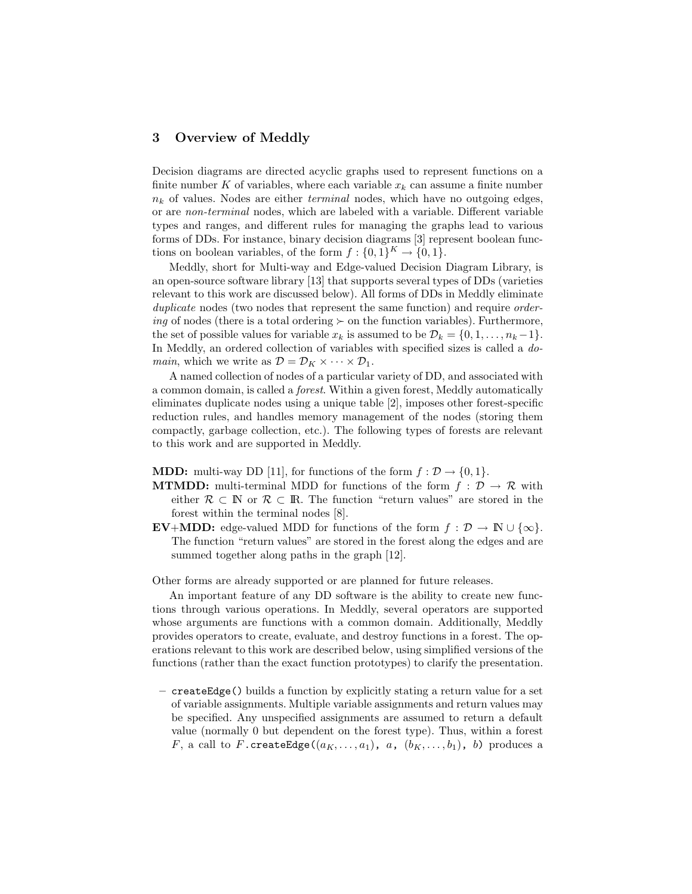# 3 Overview of Meddly

Decision diagrams are directed acyclic graphs used to represent functions on a finite number K of variables, where each variable  $x_k$  can assume a finite number  $n_k$  of values. Nodes are either *terminal* nodes, which have no outgoing edges, or are non-terminal nodes, which are labeled with a variable. Different variable types and ranges, and different rules for managing the graphs lead to various forms of DDs. For instance, binary decision diagrams [3] represent boolean functions on boolean variables, of the form  $f: \{0,1\}^K \to \{0,1\}.$ 

Meddly, short for Multi-way and Edge-valued Decision Diagram Library, is an open-source software library [13] that supports several types of DDs (varieties relevant to this work are discussed below). All forms of DDs in Meddly eliminate duplicate nodes (two nodes that represent the same function) and require *order*ing of nodes (there is a total ordering  $\succ$  on the function variables). Furthermore, the set of possible values for variable  $x_k$  is assumed to be  $\mathcal{D}_k = \{0, 1, \ldots, n_k-1\}.$ In Meddly, an ordered collection of variables with specified sizes is called a  $do$ *main*, which we write as  $\mathcal{D} = \mathcal{D}_K \times \cdots \times \mathcal{D}_1$ .

A named collection of nodes of a particular variety of DD, and associated with a common domain, is called a forest. Within a given forest, Meddly automatically eliminates duplicate nodes using a unique table [2], imposes other forest-specific reduction rules, and handles memory management of the nodes (storing them compactly, garbage collection, etc.). The following types of forests are relevant to this work and are supported in Meddly.

**MDD:** multi-way DD [11], for functions of the form  $f : \mathcal{D} \to \{0, 1\}$ .

- **MTMDD:** multi-terminal MDD for functions of the form  $f : \mathcal{D} \to \mathcal{R}$  with either  $\mathcal{R} \subset \mathbb{N}$  or  $\mathcal{R} \subset \mathbb{R}$ . The function "return values" are stored in the forest within the terminal nodes [8].
- EV+MDD: edge-valued MDD for functions of the form  $f: \mathcal{D} \to \mathbb{N} \cup {\infty}$ . The function "return values" are stored in the forest along the edges and are summed together along paths in the graph [12].

Other forms are already supported or are planned for future releases.

An important feature of any DD software is the ability to create new functions through various operations. In Meddly, several operators are supported whose arguments are functions with a common domain. Additionally, Meddly provides operators to create, evaluate, and destroy functions in a forest. The operations relevant to this work are described below, using simplified versions of the functions (rather than the exact function prototypes) to clarify the presentation.

– createEdge() builds a function by explicitly stating a return value for a set of variable assignments. Multiple variable assignments and return values may be specified. Any unspecified assignments are assumed to return a default value (normally 0 but dependent on the forest type). Thus, within a forest F, a call to F.createEdge( $(a_K, \ldots, a_1)$ , a,  $(b_K, \ldots, b_1)$ , b) produces a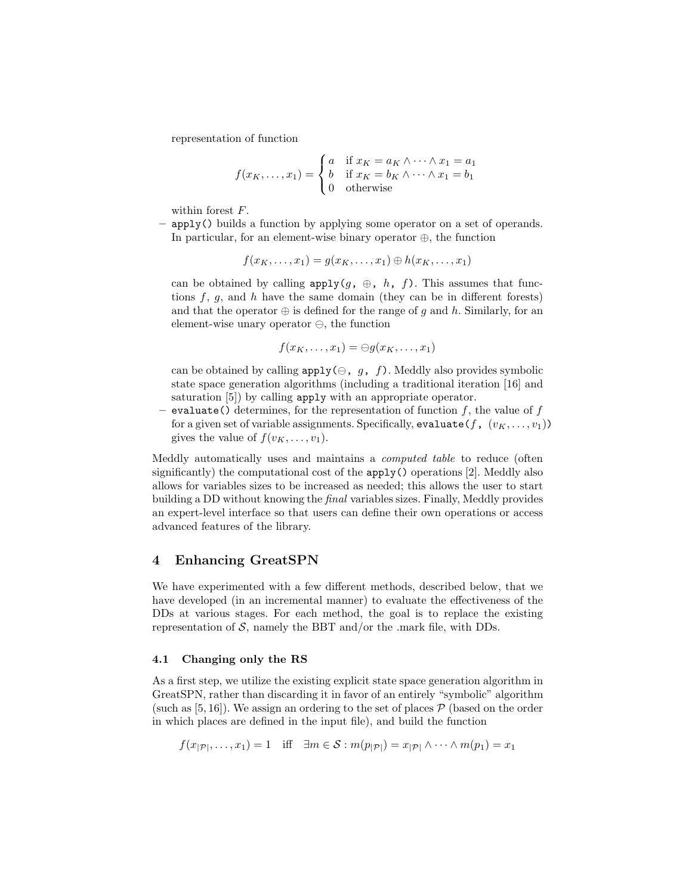representation of function

$$
f(x_K, ..., x_1) = \begin{cases} a & \text{if } x_K = a_K \wedge \cdots \wedge x_1 = a_1 \\ b & \text{if } x_K = b_K \wedge \cdots \wedge x_1 = b_1 \\ 0 & \text{otherwise} \end{cases}
$$

within forest F.

 $-$  apply() builds a function by applying some operator on a set of operands. In particular, for an element-wise binary operator ⊕, the function

$$
f(x_K,\ldots,x_1)=g(x_K,\ldots,x_1)\oplus h(x_K,\ldots,x_1)
$$

can be obtained by calling  $\text{apply}(g, \oplus, h, f)$ . This assumes that functions  $f, g$ , and h have the same domain (they can be in different forests) and that the operator  $\oplus$  is defined for the range of g and h. Similarly, for an element-wise unary operator ⊖, the function

$$
f(x_K,\ldots,x_1)=\ominus g(x_K,\ldots,x_1)
$$

can be obtained by calling  $\text{apply}(\ominus, g, f)$ . Meddly also provides symbolic state space generation algorithms (including a traditional iteration [16] and saturation [5]) by calling apply with an appropriate operator.

– evaluate() determines, for the representation of function  $f$ , the value of  $f$ for a given set of variable assignments. Specifically, evaluate  $(f, (v_K, \ldots, v_1))$ gives the value of  $f(v_K, \ldots, v_1)$ .

Meddly automatically uses and maintains a computed table to reduce (often significantly) the computational cost of the apply() operations [2]. Meddly also allows for variables sizes to be increased as needed; this allows the user to start building a DD without knowing the final variables sizes. Finally, Meddly provides an expert-level interface so that users can define their own operations or access advanced features of the library.

## 4 Enhancing GreatSPN

We have experimented with a few different methods, described below, that we have developed (in an incremental manner) to evaluate the effectiveness of the DDs at various stages. For each method, the goal is to replace the existing representation of  $S$ , namely the BBT and/or the .mark file, with DDs.

#### 4.1 Changing only the RS

As a first step, we utilize the existing explicit state space generation algorithm in GreatSPN, rather than discarding it in favor of an entirely "symbolic" algorithm (such as  $[5, 16]$ ). We assign an ordering to the set of places  $P$  (based on the order in which places are defined in the input file), and build the function

$$
f(x_{|\mathcal{P}|},\ldots,x_1)=1 \quad \text{iff} \quad \exists m\in\mathcal{S} : m(p_{|\mathcal{P}|})=x_{|\mathcal{P}|} \wedge \cdots \wedge m(p_1)=x_1
$$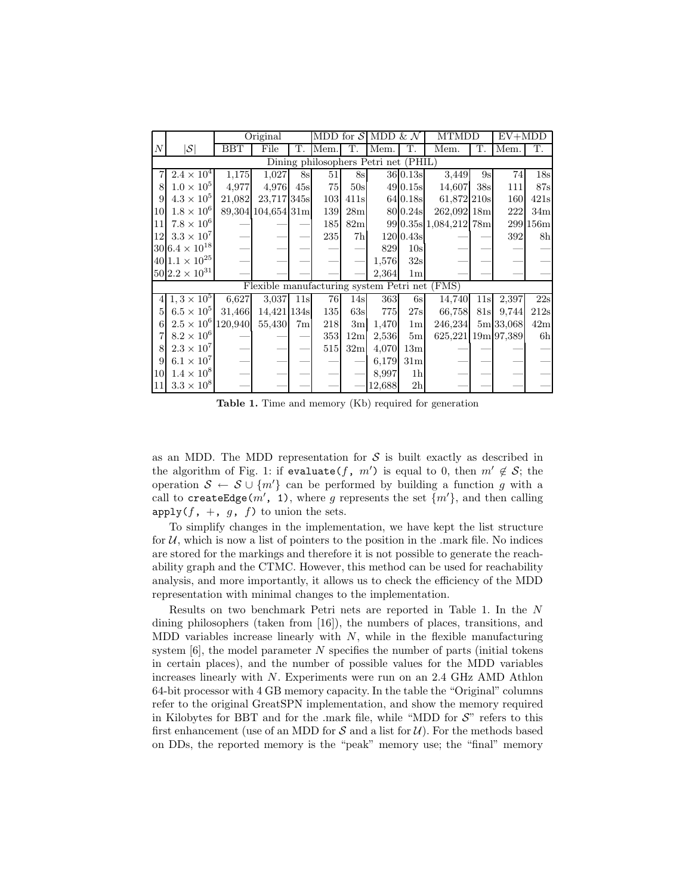|                                                  |                          | Original   |                    |                |      |      | MDD for $S$ MDD $\&\mathcal{N}$ |                 | <b>MTMDD</b>            |     | $EV+MDD$  |                |
|--------------------------------------------------|--------------------------|------------|--------------------|----------------|------|------|---------------------------------|-----------------|-------------------------|-----|-----------|----------------|
| N                                                | $ \mathcal{S} $          | <b>BBT</b> | File               | Т.             | Mem. | Т.   | Mem.                            | Т.              | Mem.                    | Т.  | Mem.      | T.             |
| Dining philosophers Petri net (PHIL)             |                          |            |                    |                |      |      |                                 |                 |                         |     |           |                |
|                                                  | $2.4 \times 10^4$        | 1,175      | 1,027              | 8s             | 51   | 8s   |                                 | 36 0.13s        | 3.449                   | 9s  | 74        | 18s            |
| 8                                                | $1.0 \times 10^5$        | 4,977      | 4,976              | 45s            | 75   | 50s  |                                 | 49 0.15s        | 14,607                  | 38s | 111       | 87s            |
| 9                                                | $4.3 \times 10^5$        | 21,082     | 23,717 345s        |                | 103  | 411s |                                 | 64 0.18s        | 61,872 210s             |     | 160       | 421s           |
| 10                                               | $1.8 \times 10^{6}$      |            | 89,304 104,654 31m |                | 139  | 28m  |                                 | 80 0.24s        | 262,092 18m             |     | 222       | 34m            |
| 11                                               | $7.8 \times 10^{6}$      |            |                    |                | 185  | 82m  |                                 |                 | 99 0.35 s 1,084,212 78m |     |           | 299 156m       |
| 12                                               | $3.3 \times 10^7$        |            |                    |                | 235  | 7h   |                                 | $120\,0.43s$    |                         |     | 392       | 8 <sub>h</sub> |
|                                                  | $30\,6.4 \times 10^{18}$ |            |                    |                |      |      | 829                             | 10 <sub>s</sub> |                         |     |           |                |
|                                                  | $40\,1.1\times10^{25}$   |            |                    |                |      |      | 1,576                           | 32s             |                         |     |           |                |
|                                                  | $50\,2.2\times10^{31}$   |            |                    |                |      |      | 2,364                           | 1 <sub>m</sub>  |                         |     |           |                |
| Flexible manufacturing system Petri net<br>(FMS) |                          |            |                    |                |      |      |                                 |                 |                         |     |           |                |
|                                                  | $1.3 \times 10^5$        | 6,627      | 3.037              | 11s            | 76   | 14s  | 363                             | 6s              | 14,740                  | 11s | 2,397     | 22s            |
| $\overline{5}$                                   | $6.5 \times 10^5$        | 31,466     | 14,421 134s        |                | 135  | 63s  | 775                             | 27s             | 66,758                  | 81s | 9,744     | 212s           |
| 6                                                | $2.5 \times 10^{6}$      | 120,940    | 55,430             | 7 <sub>m</sub> | 218  | 3m   | 1,470                           | 1 <sub>m</sub>  | 246,234                 |     | 5m 33,068 | 42m            |
| 7                                                | $8.2 \times 10^{6}$      |            |                    |                | 353  | 12m  | 2,536                           | 5m              | 625,221 19m 97,389      |     |           | 6h             |
| 8                                                | $2.3 \times 10^7$        |            |                    |                | 515  | 32m  | 4,070                           | 13m             |                         |     |           |                |
| 9                                                | $6.1 \times 10^7$        |            |                    |                |      |      | 6,179                           | 31 <sub>m</sub> |                         |     |           |                |
| 10                                               | $1.4 \times 10^{8}$      |            |                    |                |      |      | 8,997                           | 1 <sub>h</sub>  |                         |     |           |                |
| 11                                               | $3.3 \times 10^8$        |            |                    |                |      |      | 12,688                          | 2 <sub>h</sub>  |                         |     |           |                |

Table 1. Time and memory (Kb) required for generation

as an MDD. The MDD representation for  $S$  is built exactly as described in the algorithm of Fig. 1: if evaluate(f, m') is equal to 0, then  $m' \notin \mathcal{S}$ ; the operation  $S \leftarrow S \cup \{m'\}$  can be performed by building a function g with a call to createEdge( $m'$ , 1), where g represents the set  $\{m'\}$ , and then calling  $apply(f, +, g, f)$  to union the sets.

To simplify changes in the implementation, we have kept the list structure for  $U$ , which is now a list of pointers to the position in the .mark file. No indices are stored for the markings and therefore it is not possible to generate the reachability graph and the CTMC. However, this method can be used for reachability analysis, and more importantly, it allows us to check the efficiency of the MDD representation with minimal changes to the implementation.

Results on two benchmark Petri nets are reported in Table 1. In the N dining philosophers (taken from [16]), the numbers of places, transitions, and MDD variables increase linearly with  $N$ , while in the flexible manufacturing system  $[6]$ , the model parameter N specifies the number of parts (initial tokens in certain places), and the number of possible values for the MDD variables increases linearly with N. Experiments were run on an 2.4 GHz AMD Athlon 64-bit processor with 4 GB memory capacity. In the table the "Original" columns refer to the original GreatSPN implementation, and show the memory required in Kilobytes for BBT and for the .mark file, while "MDD for  $S$ " refers to this first enhancement (use of an MDD for  $S$  and a list for  $U$ ). For the methods based on DDs, the reported memory is the "peak" memory use; the "final" memory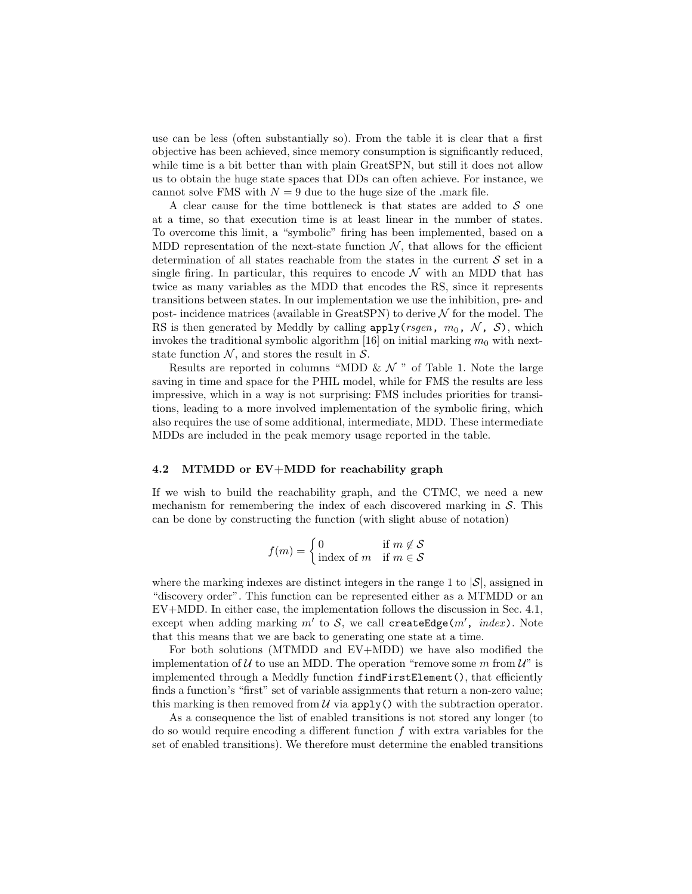use can be less (often substantially so). From the table it is clear that a first objective has been achieved, since memory consumption is significantly reduced, while time is a bit better than with plain GreatSPN, but still it does not allow us to obtain the huge state spaces that DDs can often achieve. For instance, we cannot solve FMS with  $N = 9$  due to the huge size of the .mark file.

A clear cause for the time bottleneck is that states are added to  $S$  one at a time, so that execution time is at least linear in the number of states. To overcome this limit, a "symbolic" firing has been implemented, based on a MDD representation of the next-state function  $N$ , that allows for the efficient determination of all states reachable from the states in the current  $S$  set in a single firing. In particular, this requires to encode  $\mathcal N$  with an MDD that has twice as many variables as the MDD that encodes the RS, since it represents transitions between states. In our implementation we use the inhibition, pre- and post- incidence matrices (available in GreatSPN) to derive  $\mathcal N$  for the model. The RS is then generated by Meddly by calling apply(*rsgen*,  $m_0$ , N, S), which invokes the traditional symbolic algorithm [16] on initial marking  $m_0$  with nextstate function  $N$ , and stores the result in  $S$ .

Results are reported in columns "MDD  $\&\ \mathcal{N}$ " of Table 1. Note the large saving in time and space for the PHIL model, while for FMS the results are less impressive, which in a way is not surprising: FMS includes priorities for transitions, leading to a more involved implementation of the symbolic firing, which also requires the use of some additional, intermediate, MDD. These intermediate MDDs are included in the peak memory usage reported in the table.

#### 4.2 MTMDD or EV+MDD for reachability graph

If we wish to build the reachability graph, and the CTMC, we need a new mechanism for remembering the index of each discovered marking in  $\mathcal{S}$ . This can be done by constructing the function (with slight abuse of notation)

$$
f(m) = \begin{cases} 0 & \text{if } m \notin \mathcal{S} \\ \text{index of } m & \text{if } m \in \mathcal{S} \end{cases}
$$

where the marking indexes are distinct integers in the range 1 to  $|\mathcal{S}|$ , assigned in "discovery order". This function can be represented either as a MTMDD or an EV+MDD. In either case, the implementation follows the discussion in Sec. 4.1, except when adding marking  $m'$  to  $S$ , we call createEdge( $m'$ ,  $index$ ). Note that this means that we are back to generating one state at a time.

For both solutions (MTMDD and EV+MDD) we have also modified the implementation of U to use an MDD. The operation "remove some  $m$  from  $\mathcal{U}$ " is implemented through a Meddly function findFirstElement(), that efficiently finds a function's "first" set of variable assignments that return a non-zero value; this marking is then removed from  $U$  via apply() with the subtraction operator.

As a consequence the list of enabled transitions is not stored any longer (to do so would require encoding a different function  $f$  with extra variables for the set of enabled transitions). We therefore must determine the enabled transitions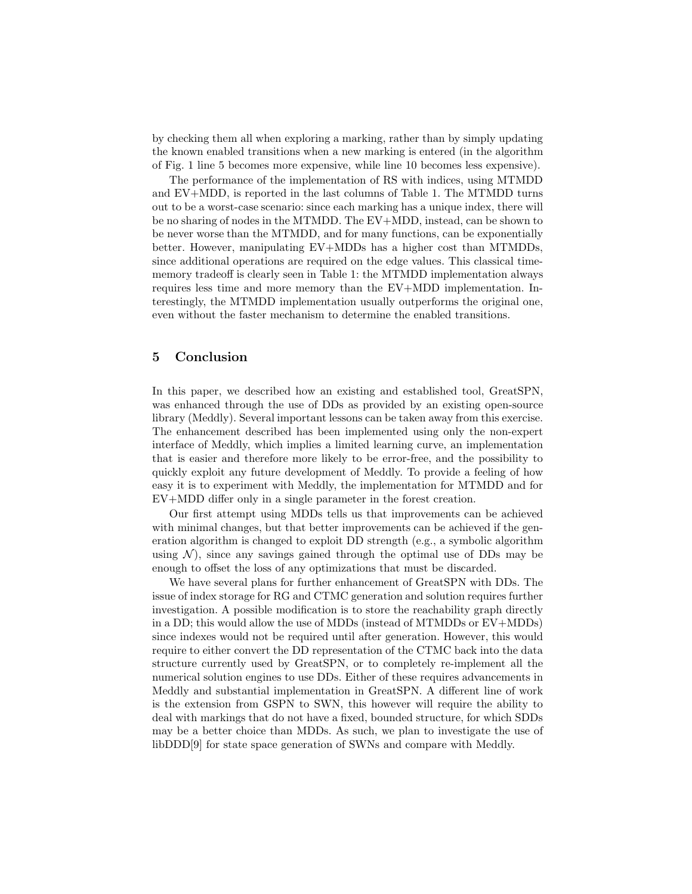by checking them all when exploring a marking, rather than by simply updating the known enabled transitions when a new marking is entered (in the algorithm of Fig. 1 line 5 becomes more expensive, while line 10 becomes less expensive).

The performance of the implementation of RS with indices, using MTMDD and EV+MDD, is reported in the last columns of Table 1. The MTMDD turns out to be a worst-case scenario: since each marking has a unique index, there will be no sharing of nodes in the MTMDD. The EV+MDD, instead, can be shown to be never worse than the MTMDD, and for many functions, can be exponentially better. However, manipulating EV+MDDs has a higher cost than MTMDDs, since additional operations are required on the edge values. This classical timememory tradeoff is clearly seen in Table 1: the MTMDD implementation always requires less time and more memory than the EV+MDD implementation. Interestingly, the MTMDD implementation usually outperforms the original one, even without the faster mechanism to determine the enabled transitions.

## 5 Conclusion

In this paper, we described how an existing and established tool, GreatSPN, was enhanced through the use of DDs as provided by an existing open-source library (Meddly). Several important lessons can be taken away from this exercise. The enhancement described has been implemented using only the non-expert interface of Meddly, which implies a limited learning curve, an implementation that is easier and therefore more likely to be error-free, and the possibility to quickly exploit any future development of Meddly. To provide a feeling of how easy it is to experiment with Meddly, the implementation for MTMDD and for EV+MDD differ only in a single parameter in the forest creation.

Our first attempt using MDDs tells us that improvements can be achieved with minimal changes, but that better improvements can be achieved if the generation algorithm is changed to exploit DD strength (e.g., a symbolic algorithm using  $\mathcal{N}$ , since any savings gained through the optimal use of DDs may be enough to offset the loss of any optimizations that must be discarded.

We have several plans for further enhancement of GreatSPN with DDs. The issue of index storage for RG and CTMC generation and solution requires further investigation. A possible modification is to store the reachability graph directly in a DD; this would allow the use of MDDs (instead of MTMDDs or EV+MDDs) since indexes would not be required until after generation. However, this would require to either convert the DD representation of the CTMC back into the data structure currently used by GreatSPN, or to completely re-implement all the numerical solution engines to use DDs. Either of these requires advancements in Meddly and substantial implementation in GreatSPN. A different line of work is the extension from GSPN to SWN, this however will require the ability to deal with markings that do not have a fixed, bounded structure, for which SDDs may be a better choice than MDDs. As such, we plan to investigate the use of libDDD[9] for state space generation of SWNs and compare with Meddly.